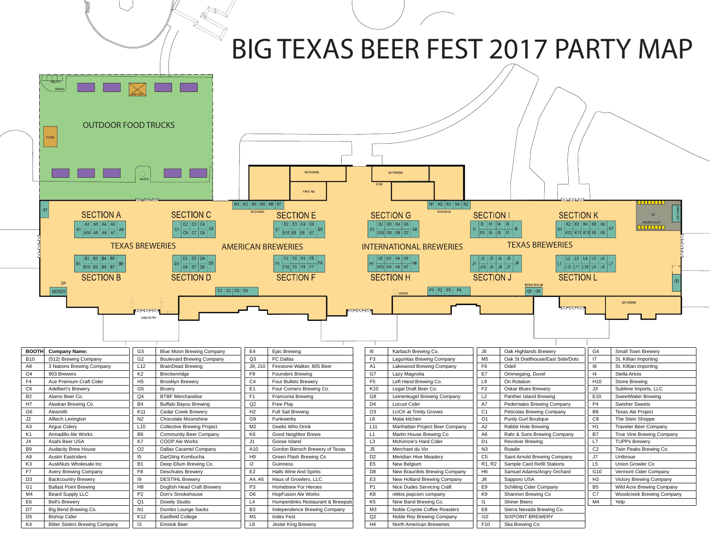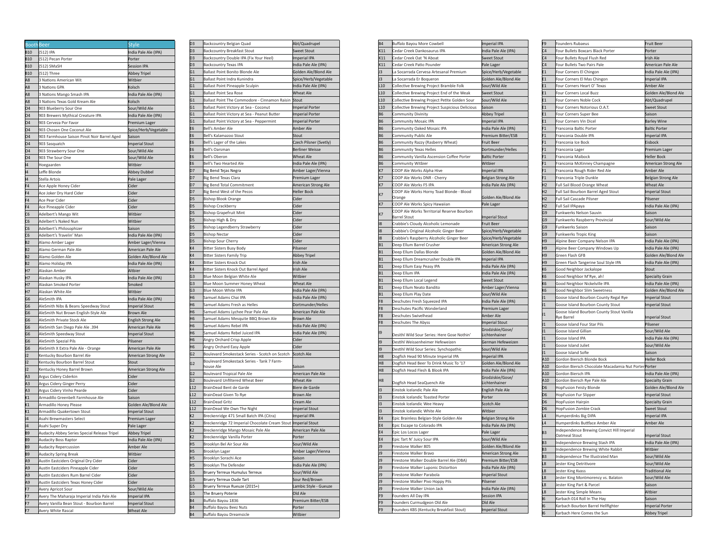| <b>BoothBeer</b> |                                              | Style                          |
|------------------|----------------------------------------------|--------------------------------|
| <b>B10</b>       | (512) IPA                                    | India Pale Ale (IPA)           |
| <b>B10</b>       | (512) Pecan Porter                           | Porter                         |
| <b>B10</b>       | (512) SMaSH                                  | Session IPA                    |
| <b>B10</b>       | (512) Three                                  | <b>Abbey Tripel</b>            |
| A8               | 3 Nations American Wit                       | Witbier                        |
| A8               | 3 Nations GPA                                | Kolsch                         |
| A8               | 3 Nations Mango Smash IPA                    | India Pale Ale (IPA)           |
| A8               | 3 Nations Texas Gold Kream Ale               | Kolsch                         |
| O <sub>4</sub>   | 903 Blueberry Sour One                       | Sour/Wild Ale                  |
| 04               | 903 Brewers Mythical Creature IPA            | India Pale Ale (IPA)           |
| 04               | 903 Cerveza Por Favor                        | Premium Lager                  |
| 04               | 903 Chosen One Coconut Ale                   | Spice/Herb/Vegetable           |
| 04               | 903 Farmhouse Saison Pinot Noir Barrel Aged  | Saison                         |
| 04               | 903 Sasquatch                                | <b>Imperial Stout</b>          |
| 04               | 903 Strawberry Sour One                      | Sour/Wild Ale                  |
| 04               | 903 The Sour One                             | Sour/Wild Ale                  |
| 14               | Hoegaarden                                   | Witbier                        |
| 14               | Leffe Blonde                                 | Abbey Dubbel                   |
| 14               | Stella Artois                                | Pale Lager                     |
| F <sub>4</sub>   | Ace Apple Honey Cider                        | Cider                          |
| F <sub>4</sub>   | Ace Joker Dry Hard Cider                     | Cider                          |
| F <sub>4</sub>   | Ace Pear Cider                               | Cider                          |
| F <sub>4</sub>   | Ace Pineapple Cider                          | Cider                          |
| C <sub>6</sub>   | Adelbert's Mango Wit                         | Witbier                        |
| C <sub>6</sub>   | Adelbert's Naked Nun                         | Witbier                        |
| C <sub>6</sub>   | Adelbert's Philosophizer                     | Saison                         |
| C <sub>6</sub>   | Adelbert's Travelin' Man                     | India Pale Ale (IPA)           |
| B <sub>2</sub>   | Alamo Amber Lager                            | Amber Lager/Vienna             |
| R <sub>2</sub>   | Alamo German Pale Ale                        | American Pale Ale              |
| B <sub>2</sub>   | Alamo Golden Ale                             | Golden Ale/Blond Ale           |
| B <sub>2</sub>   | Alamo Holiday IPA                            | India Pale Ale (IPA)           |
| H7               | Alaskan Amber                                | Altbier                        |
| H7<br>H7         | Alaskan Husky IPA<br>Alaskan Smoked Porter   | India Pale Ale (IPA)<br>Smoked |
| H7               | Alaskan White Ale                            | Witbier                        |
| G6               | AleSmith IPA                                 | India Pale Ale (IPA)           |
| G <sub>6</sub>   | AleSmith Nibs & Beans Speedway Stout         | <b>Imperial Stout</b>          |
| G6               | AleSmith Nut Brown English-Style Ale         | <b>Brown Ale</b>               |
| G6               | AleSmith Private Stock Ale                   | English Strong Ale             |
| G6               | <b>AleSmith San Diego Pale Ale .394</b>      | American Pale Ale              |
| G6               | AleSmith Speedway Stout                      | Imperial Stout                 |
| G6               | AleSmith Spezial Pils                        | Pilsener                       |
| G6               | AleSmith X Extra Pale Ale - Orange           | American Pale Ale              |
| J2               | Kentucky Bourbon Barrel Ale                  | American Strong Ale            |
| J2               | Kentucky Bourbon Barrel Stout                | Stout                          |
| J2               | Kentucky Honey Barrel Brown                  | American Strong Ale            |
| A3               | Argus Cidery Ciderkin                        | Cider                          |
| A3               | Argus Cidery Ginger Perry                    | Cider                          |
| A3               | Argus Cidery Vinho Pearde                    | Cider                          |
| K1               | Armadillo Greenbelt Farmhouse Ale            | Saison                         |
| K1               | Armadillo Honey Please                       | Golden Ale/Blond Ale           |
| K1               | Armadillo Quakertown Stout                   | <b>Imperial Stout</b>          |
| J4               | Asahi Brewmasters Select                     | Premium Lager                  |
| J4               | Asahi Super Dry                              | Pale Lager                     |
| B <sub>9</sub>   | Audacity Abbey Series Special Release Tripel | Abbey Tripel                   |
| B9               | Audacity Boss Raptor                         | India Pale Ale (IPA)           |
| B <sub>9</sub>   | <b>Audacity Repercussion</b>                 | Amber Ale                      |
| B <sub>9</sub>   | <b>Audacity Spring Break</b>                 | Witbier                        |
| A9               | Austin Eastciders Original Dry Cider         | Cider                          |
| A9               | Austin Eastciders Pineapple Cider            | Cider                          |
| A9               | Austin Eastciders Rum Barrel Cider           | Cider                          |
| A9               | Austin Eastciders Texas Honey Cider          | Cider                          |
| F7               | Avery Apricot Sour                           | Sour/Wild Ale                  |
| F7               | Avery The Maharaja Imperial India Pale Ale   | Imperial IPA                   |
| F7               | Avery Vanilla Bean Stout - Bourbon Barrel    | <b>Imperial Stout</b>          |
| F7               | Avery White Rascal                           | Wheat Ale                      |

| D3             | Backcountry Belgian Quad                                      | Abt/Quadrupel          |
|----------------|---------------------------------------------------------------|------------------------|
| D3             | Backcountry Breakfast Stout                                   | <b>Sweet Stout</b>     |
| D3             | Backcountry Double IPA (Fix Your Heel)                        | Imperial IPA           |
| D3             | <b>Backcountry Texas IPA</b>                                  | India Pale Ale (IPA)   |
| G1             | Ballast Point Bonito Blonde Ale                               | Golden Ale/Blond Ale   |
| G1             | Ballast Point Indra Kunindra                                  | Spice/Herb/Vegetable   |
| G1             | Ballast Point Pineapple Sculpin                               | India Pale Ale (IPA)   |
| G1             | <b>Ballast Point Sea Rose</b>                                 | <b>Wheat Ale</b>       |
| G1             | Ballast Point The Commodore - Cinnamon Raisin                 | Stout                  |
| G1             | Ballast Point Victory at Sea - Coconut                        | <b>Imperial Porter</b> |
|                |                                                               |                        |
| G1             | Ballast Point Victory at Sea - Peanut Butter                  | <b>Imperial Porter</b> |
| G1             | Ballast Point Victory at Sea - Peppermint                     | <b>Imperial Porter</b> |
| E6             | Bell's Amber Ale                                              | Amber Ale              |
| Е6             | Bell's Kalamazoo Stout                                        | Stout                  |
| E6             | Bell's Lager of the Lakes                                     | Czech Pilsner (Svetly) |
| E6             | Bell's Oarsman                                                | <b>Berliner Weisse</b> |
| Е6             | Bell's Oberon                                                 | Wheat Ale              |
| Е6             | Bell's Two Hearted Ale                                        | India Pale Ale (IPA)   |
| D7             | Big Bend Tejas Negra                                          | Amber Lager/Vienna     |
| D7             | Big Bend Texas Clara                                          | Premium Lager          |
| D7             | Big Bend Total Commitment                                     | American Strong Ale    |
| D7             | Big Bend West of the Pecos                                    | <b>Heller Bock</b>     |
|                |                                                               |                        |
| D5             | <b>Bishop Blook Orange</b>                                    | Cider                  |
| D5             | <b>Bishop Crackberry</b>                                      | Cider                  |
| D5             | <b>Bishop Grapefruit Mint</b>                                 | Cider                  |
| D5             | Bishop High & Dry                                             | Cider                  |
| D5             | Bishop Legendberry Strawberry                                 | Cider                  |
| D5             | <b>Bishop Nectar</b>                                          | Cider                  |
| D5             | <b>Bishop Sour Cherry</b>                                     | Cider                  |
| K4             | <b>Bitter Sisters Busy Body</b>                               | Pilsener               |
| K4             | <b>Bitter Sisters Family Trip</b>                             | <b>Abbey Tripel</b>    |
| K4             | <b>Bitter Sisters Knock Out</b>                               | Irish Ale              |
| K4             | Bitter Sisters Knock Out Barrel Aged                          | Irish Ale              |
| G3             | Blue Moon Belgian White Ale                                   | Witbier                |
| G3             | Blue Moon Summer Honey Wheat                                  | Wheat Ale              |
| G3             | Blue Moon White IPA                                           | India Pale Ale (IPA)   |
|                |                                                               |                        |
| Η6             | Samuel Adams Chai IPA                                         | India Pale Ale (IPA)   |
| Н6             | Samuel Adams Fresh as Helles                                  | Dortmunder/Helles      |
| Η6             | Samuel Adams Lychee Pear Pale Ale                             | American Pale Ale      |
| Н6             | Samuel Adams Mesquite BBQ Brown Ale                           | Brown Ale              |
| Н6             | Samuel Adams Rebel IPA                                        | India Pale Ale (IPA)   |
| Η6             | Samuel Adams Rebel Juiced IPA                                 | India Pale Ale (IPA)   |
| Н6             | Angry Orchard Crisp Apple                                     | Cider                  |
| Н6             | Angry Orchard Easy Apple                                      | Cider                  |
| G <sub>2</sub> | Boulevard Smokestack Series - Scotch on Scotch                | Scotch Ale             |
|                | Boulevard Smokestack Series - Tank 7 Farm-                    |                        |
| G <sub>2</sub> | house Ale                                                     | Saison                 |
| G2             | <b>Boulevard Tropical Pale Ale</b>                            | American Pale Ale      |
| G2             | Boulevard Unfiltered Wheat Beer                               | Wheat Ale              |
| L12            | BrainDead Bent de Garde                                       | Biere de Garde         |
| L12            | BrainDead Given To Rye                                        | <b>Brown Ale</b>       |
| L12            | <b>BrainDead Gritz</b>                                        | Cream Ale              |
|                |                                                               |                        |
| L12            | BrainDead We Own The Night                                    | <b>Imperial Stout</b>  |
| K2             | Breckenridge 471 Small Batch IPA (Citra)                      | <b>Imperial IPA</b>    |
| K2             | Breckenridge 72 Imperial Chocolate Cream Stout Imperial Stout |                        |
| K2             | Breckenridge Mango Mosaic Pale Ale                            | American Pale Ale      |
| K2             | Breckenridge Vanilla Porte                                    | Porter                 |
| H5             | Brooklyn Bel Air Sour Ale                                     | Sour/Wild Ale          |
| H5             | Brooklyn Lager                                                | Amber Lager/Vienna     |
| H5             | Brooklyn Sorachi Ace                                          | Saison                 |
| H5             | Brooklyn The Defender                                         | India Pale Ale (IPA)   |
| G5             | Bruery Terreux Humulus Terreux                                | Sour/Wild Ale          |
| G5             | Bruery Terreux Oude Tart                                      | Sour Red/Brown         |
| G5             | Bruery Terreux Rueuze (2015+)                                 | Lambic Style - Gueuze  |
| G5             | The Bruery Poterie                                            | Old Ale                |
|                |                                                               |                        |
| Β4             | Buffalo Bayou 1836                                            | Premium Bitter/ESB     |
| Β4             | Buffalo Bayou Beez Nuts                                       | Porter                 |
| <b>B4</b>      | Buffalo Bayou Dreamsicle                                      | Witbier                |

| <b>B4</b>            | Buffalo Bayou More Cowbell                                             | <b>Imperial IPA</b>               |
|----------------------|------------------------------------------------------------------------|-----------------------------------|
| K11                  | Cedar Creek Dankosaurus IPA                                            | India Pale Ale (IPA)              |
| K11                  | Cedar Creek Oat 'N Aboat                                               | Sweet Stout                       |
| K11                  | Cedar Creek Patio Pounder                                              | Pale Lager                        |
| JЗ                   | La Socarrada Cervesa Artesanal Premium                                 | Spice/Herb/Vegetable              |
| J3                   | La Socarrada Er Boqueron                                               | Golden Ale/Blond Ale              |
| L <sub>10</sub>      |                                                                        | Sour/Wild Ale                     |
|                      | Collective Brewing Project Bramble Folk                                |                                   |
| L <sub>10</sub>      | Collective Brewing Project End of the Weak                             | <b>Sweet Stout</b>                |
| L <sub>10</sub>      | Collective Brewing Project Petite Golden Sour                          | Sour/Wild Ale                     |
| L <sub>10</sub>      | Collective Brewing Project Suspicious Delicious                        | Saison                            |
| <b>B6</b>            | Community Divinity                                                     | Abbey Tripel                      |
| <b>B6</b>            | Community Mosaic IPA                                                   | <b>Imperial IPA</b>               |
| <b>B6</b>            | Community Oaked Mosaic IPA                                             | India Pale Ale (IPA)              |
| <b>B6</b>            | Community Public Ale                                                   | Premium Bitter/ESB                |
| <b>B6</b>            | Community Razzy (Rasberry Wheat)                                       | Fruit Beer                        |
| <b>B6</b>            | Community Texas Helles                                                 | Dortmunder/Helles                 |
| <b>B6</b>            | Community Vanilla Ascension Coffee Porter                              | <b>Baltic Porter</b>              |
| <b>B6</b>            | Community Witbier                                                      | Withier                           |
|                      |                                                                        |                                   |
| K7                   | COOP Ale Works Alpha Hive                                              | <b>Imperial IPA</b>               |
| K7                   | COOP Ale Works DNR - Cherry                                            | Belgian Strong Ale                |
| K7                   | COOP Ale Works F5 IPA                                                  | India Pale Ale (IPA)              |
| K7                   | COOP Ale Works Horny Toad Blonde - Blood<br>Orange                     | Golden Ale/Blond Ale              |
| K7                   | COOP Ale Works Spicy Hawaiian                                          | Pale Lager                        |
| K7                   | COOP Ale Works Territorial Reserve Bourbon                             |                                   |
|                      | <b>Barrel Stout</b>                                                    | <b>Imperial Stout</b>             |
| 18                   | Crabbie's Cloudy Alcoholic Lemonade                                    | Fruit Beer                        |
| 18                   | Crabbie's Original Alcoholic Ginger Beer                               | Spice/Herb/Vegetable              |
| 18                   | Crabbie's Raspberry Alcoholic Ginger Beer                              | Spice/Herb/Vegetable              |
| <b>B1</b>            | Deep Ellum Barrel Crusher                                              | American Strong Ale               |
| <b>B1</b>            | Deep Ellum Dallas Blonde                                               | Golden Ale/Blond Ale              |
| <b>B1</b>            | Deep Ellum Dreamcrusher Double IPA                                     | <b>Imperial IPA</b>               |
| <b>B1</b>            | Deep Ellum Easy Peasy IPA                                              | India Pale Ale (IPA)              |
| <b>B1</b>            | Deep Ellum IPA                                                         | India Pale Ale (IPA)              |
|                      |                                                                        |                                   |
| <b>B1</b>            |                                                                        | <b>Sweet Stout</b>                |
|                      | Deep Ellum Local Legend                                                |                                   |
| <b>B1</b>            | Deep Ellum Neato Bandito                                               | Amber Lager/Vienna                |
| <b>B1</b>            | Deep Ellum Play Date                                                   | Sour/Wild Ale                     |
| F <sub>8</sub>       | Deschutes Fresh Squeezed IPA                                           | India Pale Ale (IPA)              |
| F <sub>8</sub>       | Deschutes Pacific Wonderland                                           | Premium Lager                     |
| F8                   | Deschutes Swivelhead                                                   | Amber Ale                         |
| F8                   | Deschutes The Abyss                                                    | <b>Imperial Stout</b>             |
| 19                   | Desithl Wild Sour Series: Here Gose Nothin'                            | Grodziskie/Gose/<br>Lichtenhainer |
| 19                   | Destihl Weissenheimer Hefeweizen                                       | German Hefeweizen                 |
| 19                   | Destihl Wild Sour Series: Synchopathic                                 | Sour/Wild Ale                     |
| H8                   | Dogfish Head 90 Minute Imperial IPA                                    | <b>Imperial IPA</b>               |
| H8                   | Dogfish Head Beer To Drink Music To '17                                | Golden Ale/Blond Ale              |
|                      |                                                                        |                                   |
| H <sub>8</sub>       | Dogfish Head Flesh & Blook IPA                                         | India Pale Ale (IPA)              |
| H8                   | Dogfish Head SeaQuench Ale                                             | Grodziskie/Gose/<br>Lichtenhainer |
| 13                   | Einstok Icelandic Pale Ale                                             | <b>English Pale Ale</b>           |
| 13                   | Einstok Icelandic Toasted Porter                                       | Porter                            |
|                      |                                                                        |                                   |
| 13                   | Einstok Icelandic Wee Heavy                                            | Scotch Ale                        |
| 13                   | Einstok Icelandic White Ale                                            | Witbier                           |
| E4                   | Epic Brainless Belgian-Style Golden Ale                                | <b>Belgian Strong Ale</b>         |
| E4                   | Epic Escape to Colorado IPA                                            | India Pale Ale (IPA)              |
| E4                   | Epic Los Locos Lager                                                   | Pale Lager                        |
| E4                   | Epic Tart N' Juicy Sour IPA                                            | Sour/Wild Ale                     |
| J9                   | Firestone Walker 805                                                   | Golden Ale/Blond Ale              |
| J9                   | Firestone Walker Bravo                                                 | American Strong Ale               |
| J9                   | Firestone Walker Double Barrel Ale (DBA)                               | Premium Bitter/ESB                |
| J9                   | Firestone Walker Luponic Distortion                                    | India Pale Ale (IPA)              |
|                      |                                                                        |                                   |
| J9                   | Firestone Walker Parabola                                              | <b>Imperial Stout</b>             |
| J9                   | Firestone Walker Pivo Hoppy Pils                                       | Pilsener                          |
| J9                   | Firestone Walker Union Jack                                            | India Pale Ale (IPA)              |
| F9                   | Founders All Day IPA                                                   | <b>Session IPA</b>                |
| F <sub>9</sub><br>F9 | Founders Curmudgeon Old Ale<br>Founders KBS (Kentucky Breakfast Stout) | Old Ale<br><b>Imperial Stout</b>  |

| F9             | Founders Rubaeus                                    | Fruit Beer                |
|----------------|-----------------------------------------------------|---------------------------|
| C4             | Four Bullets Boxcars Black Porter                   | Porter                    |
| C <sub>4</sub> | Four Bullets Royal Flush Red                        | Irish Ale                 |
| C <sub>4</sub> | Four Bullets Two Pairs Pale                         | American Pale Ale         |
| E <sub>1</sub> | Four Corners El Chingon                             | India Pale Ale (IPA)      |
| E <sub>1</sub> | Four Corners El Mas Chingon                         | Imperial IPA              |
| E <sub>1</sub> | Four Corners Heart O' Texas                         | Amber Ale                 |
| E <sub>1</sub> | Four Corners Local Buzz                             | Golden Ale/Blond Ale      |
| E <sub>1</sub> | Four Corners Noble Cock                             | Abt/Quadrupel             |
| E1             | Four Corners Notorious O.A.T.                       | <b>Sweet Stout</b>        |
| E <sub>1</sub> |                                                     | Saison                    |
| E <sub>1</sub> | Four Corners Super Bee                              |                           |
|                | Four Corners Vin Dicel                              | <b>Barley Wine</b>        |
| F <sub>1</sub> | Franconia Baltic Porter                             | <b>Baltic Porter</b>      |
| F1             | Franconia Double IPA                                | Imperial IPA              |
| F1             | Franconia Ice Bock                                  | Eisbock                   |
| F1             | Franconia Lager                                     | Premium Lager             |
| F1             | Franconia Maibock                                   | <b>Heller Bock</b>        |
| F <sub>1</sub> | Franconia McKinney Champagne                        | American Strong Ale       |
| F1             | Franconia Rough Rider Red Ale                       | Amber Ale                 |
| F <sub>1</sub> | Franconia Triple Dunkle                             | <b>Belgian Strong Ale</b> |
| H2             | Full Sail Blood Orange Wheat                        | Wheat Ale                 |
| H2             | Full Sail Bourbon Barrel Aged Stout                 | <b>Imperial Stout</b>     |
| H <sub>2</sub> | Full Sail Cascade Pilsner                           | Pilsener                  |
| H <sub>2</sub> | Full Sail IPApaya                                   | India Pale Ale (IPA)      |
| G9             | Funkwerks Nelson Sauvin                             | Saison                    |
| G9             | Funkwerks Raspberry Provincial                      | Sour/Wild Ale             |
| G9             | <b>Funkwerks Saison</b>                             | Saison                    |
| G9             | Funkwerks Tropic King                               | Saison                    |
| H9             | Alpine Beer Company Nelson IPA                      | India Pale Ale (IPA)      |
| H9             | Alpine Beer Company Windows Up                      | India Pale Ale (IPA)      |
| H <sub>9</sub> | Green Flash GFB                                     | Golden Ale/Blond Ale      |
| H9             | Green Flash Tangerine Soul Style IPA                | India Pale Ale (IPA)      |
| K <sub>6</sub> | Good Neighbor Jackalope                             | Stout                     |
|                |                                                     |                           |
|                |                                                     |                           |
| K6             | Good Neighbor M'Rye, ah!                            | Specialty Grain           |
| K <sub>6</sub> | Good Neighbor Nickelville IPA                       | India Pale Ale (IPA)      |
| K <sub>6</sub> | Good Neighbor Slim Sweetness                        | Golden Ale/Blond Ale      |
| J1             | Goose Island Bourbon County Regal Rye               | <b>Imperial Stout</b>     |
| J1             | Goose Island Bourbon County Stout                   | <b>Imperial Stout</b>     |
| J1             | Goose Island Bourbon County Stout Vanilla           |                           |
|                | Rye Barrel                                          | Imperial Stout            |
| J1             | Goose Island Four Star Pils                         | Pilsener                  |
| J1             | Goose Island Gillian                                | Sour/Wild Ale             |
| U1             | Goose Island IPA                                    | India Pale Ale (IPA)      |
| J1             | Goose Island Juliet                                 | Sour/Wild Ale             |
| lı1            | Goose Island Sofie                                  | Saison                    |
| A10            | Gordon Biersch Blonde Bock                          | <b>Heller Bock</b>        |
| A10            | Gordon Biersch Chocolate Macadamia Nut PorterPorter |                           |
| A10            | Gordon Biersch IPA                                  | India Pale Ale (IPA)      |
| A10            | Gordon Biersch Rye Pale Ale                         | Specialty Grain           |
| D <sub>6</sub> | <b>HopFusion Feisty Blonde</b>                      | Golden Ale/Blond Ale      |
| D <sub>6</sub> | HopFusion Fur Slipper                               | <b>Imperial Stout</b>     |
| D <sub>6</sub> | <b>HopFusion Hairpin</b>                            | Specialty Grain           |
| D <sub>6</sub> | <b>HopFusion Zombie Crack</b>                       | <b>Sweet Stout</b>        |
| L4             | Humperdinks Big DIPA                                | <b>Imperial IPA</b>       |
| L <sub>4</sub> | Humperdinks Buttface Amber Ale                      | Amber Ale                 |
|                | Independence Brewing Convict Hill Imperial          |                           |
| B <sub>3</sub> | Oatmeal Stout                                       | Imperial Stout            |
| B <sub>3</sub> | Independence Brewing Stash IPA                      | India Pale Ale (IPA)      |
| B <sub>3</sub> | Independence Brewing White Rabbit                   | Witbier                   |
| B <sub>3</sub> | Independence The Illustrated Man                    | Sour/Wild Ale             |
| L8             | Jester King Detritivore                             | Sour/Wild Ale             |
| L8             | Jester King Kvass                                   | <b>Traditional Ale</b>    |
| L8             | Jester King Montmorency vs. Balaton                 | Sour/Wild Ale             |
| L8             | Jester King Part & Parcel                           | Saison                    |
| L8             | Jester King Simple Means                            | Altbier                   |
| I6             | Karbach 014 Roll In The Hay                         | Saison                    |
| 16             | Karbach Bourbon Barrel Hellfighter                  | Imperial Porter           |